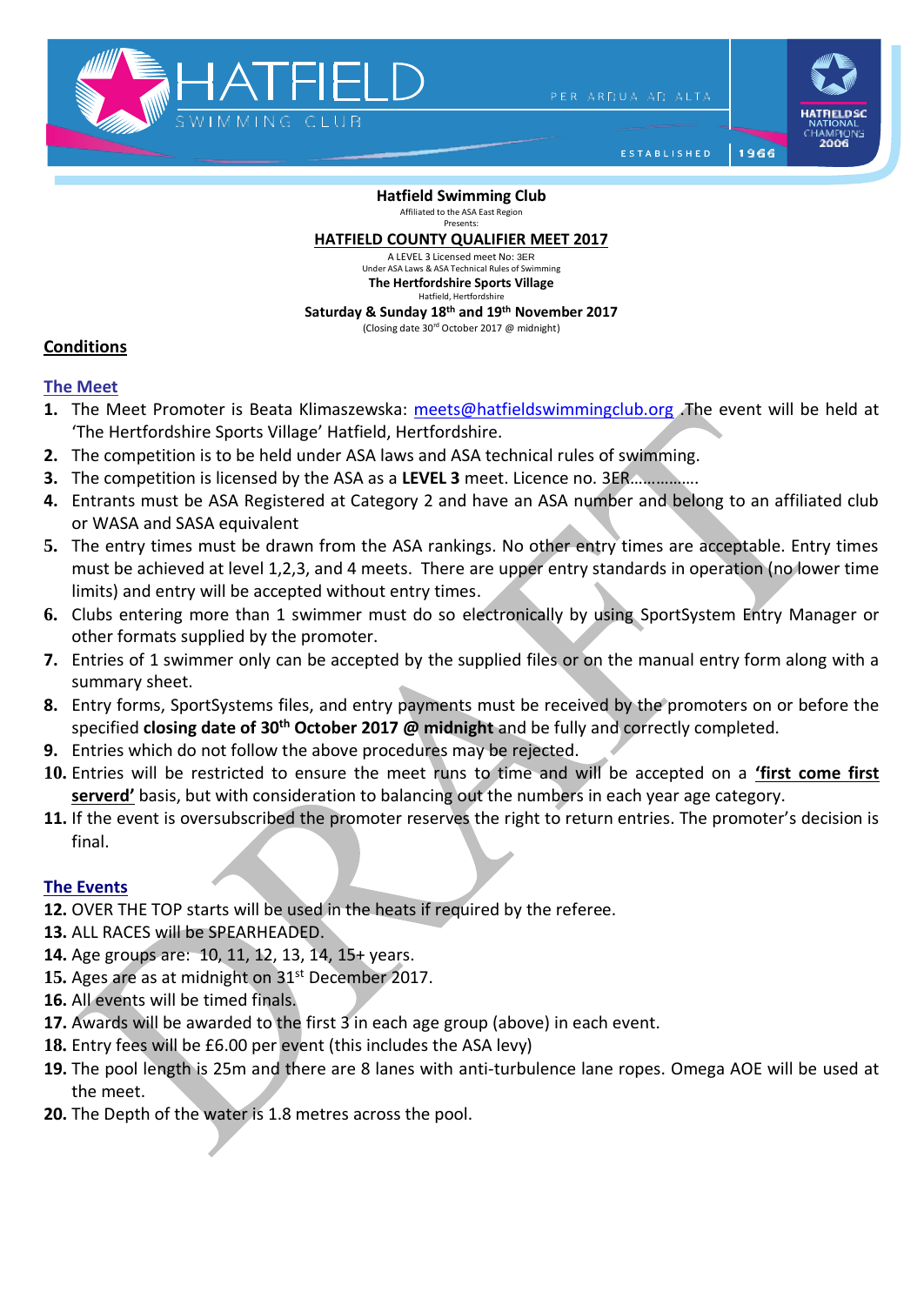

PER ARDUA AD ALTA

1966

ESTABLISHED

**Hatfield Swimming Club** Affiliated to the ASA East Region Presents:

#### **HATFIELD COUNTY QUALIFIER MEET 2017**

A LEVEL 3 Licensed meet No: 3ER Under ASA Laws & ASA Technical Rules of Swim **The Hertfordshire Sports Village** Hatfield, Hertfordshire

**Saturday & Sunday 18th and 19th November 2017**

#### (Closing date 30rd October 2017 @ midnight)

### **Conditions**

## **The Meet**

- **1.** The Meet Promoter is Beata Klimaszewska: [meets@hatfieldswimmingclub.org](mailto:meets@hatfieldswimmingclub.org) .The event will be held at 'The Hertfordshire Sports Village' Hatfield, Hertfordshire.
- **2.** The competition is to be held under ASA laws and ASA technical rules of swimming.
- **3.** The competition is licensed by the ASA as a **LEVEL 3** meet. Licence no. 3ER…………….
- **4.** Entrants must be ASA Registered at Category 2 and have an ASA number and belong to an affiliated club or WASA and SASA equivalent
- **5.** The entry times must be drawn from the ASA rankings. No other entry times are acceptable. Entry times must be achieved at level 1,2,3, and 4 meets. There are upper entry standards in operation (no lower time limits) and entry will be accepted without entry times.
- **6.** Clubs entering more than 1 swimmer must do so electronically by using SportSystem Entry Manager or other formats supplied by the promoter.
- **7.** Entries of 1 swimmer only can be accepted by the supplied files or on the manual entry form along with a summary sheet.
- **8.** Entry forms, SportSystems files, and entry payments must be received by the promoters on or before the specified **closing date of 30th October 2017 @ midnight** and be fully and correctly completed.
- **9.** Entries which do not follow the above procedures may be rejected.
- **10.** Entries will be restricted to ensure the meet runs to time and will be accepted on a **'first come first serverd'** basis, but with consideration to balancing out the numbers in each year age category.
- **11.** If the event is oversubscribed the promoter reserves the right to return entries. The promoter's decision is final.

# **The Events**

- **12.** OVER THE TOP starts will be used in the heats if required by the referee.
- **13.** ALL RACES will be SPEARHEADED.
- **14.** Age groups are: 10, 11, 12, 13, 14, 15+ years.
- 15. Ages are as at midnight on 31<sup>st</sup> December 2017.
- **16.** All events will be timed finals.
- **17.** Awards will be awarded to the first 3 in each age group (above) in each event.
- **18.** Entry fees will be £6.00 per event (this includes the ASA levy)
- **19.** The pool length is 25m and there are 8 lanes with anti-turbulence lane ropes. Omega AOE will be used at the meet.
- **20.** The Depth of the water is 1.8 metres across the pool.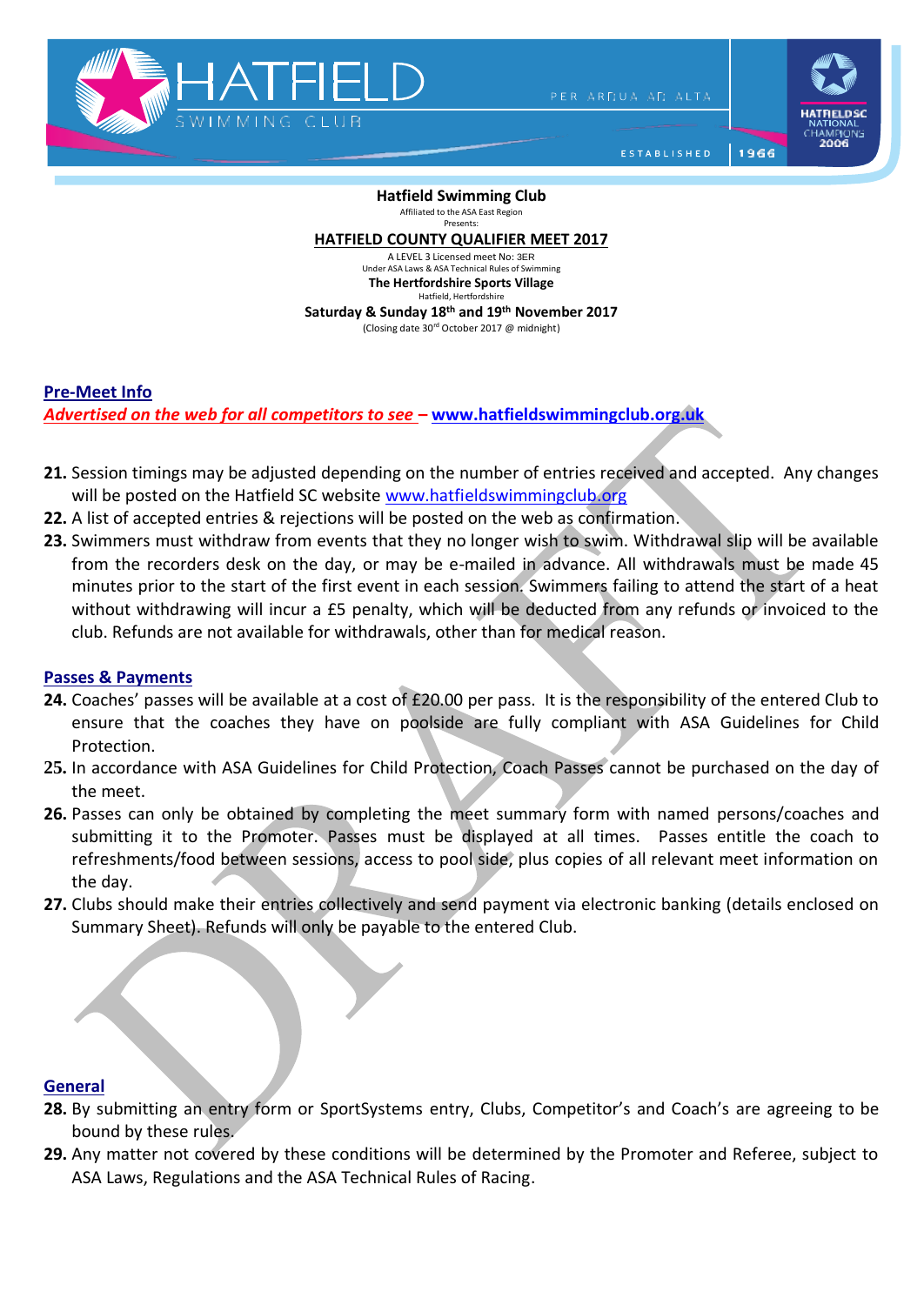

PER ARDUA AD ALTA

1966

ESTABLISHED

**Hatfield Swimming Club** Affiliated to the ASA East Region Presents:

**HATFIELD COUNTY QUALIFIER MEET 2017**

A LEVEL 3 Licensed meet No: 3ER Under ASA Laws & ASA Technical Rules of Swim **The Hertfordshire Sports Village** Hatfield, Hertfordshire

**Saturday & Sunday 18th and 19th November 2017** (Closing date 30rd October 2017 @ midnight)

**Pre-Meet Info**

*Advertised on the web for all competitors to see* **– [www.hatfieldswimmingclub.org.uk](http://www.hatfieldswimmingclub.org.uk/)**

- **21.** Session timings may be adjusted depending on the number of entries received and accepted. Any changes will be posted on the Hatfield SC website [www.hatfieldswimmingclub.org](http://www.hatfieldswimmingclub.org/)
- **22.** A list of accepted entries & rejections will be posted on the web as confirmation.
- **23.** Swimmers must withdraw from events that they no longer wish to swim. Withdrawal slip will be available from the recorders desk on the day, or may be e-mailed in advance. All withdrawals must be made 45 minutes prior to the start of the first event in each session. Swimmers failing to attend the start of a heat without withdrawing will incur a £5 penalty, which will be deducted from any refunds or invoiced to the club. Refunds are not available for withdrawals, other than for medical reason.

## **Passes & Payments**

- **24.** Coaches' passes will be available at a cost of £20.00 per pass. It is the responsibility of the entered Club to ensure that the coaches they have on poolside are fully compliant with ASA Guidelines for Child Protection.
- **25.** In accordance with ASA Guidelines for Child Protection, Coach Passes cannot be purchased on the day of the meet.
- **26.** Passes can only be obtained by completing the meet summary form with named persons/coaches and submitting it to the Promoter. Passes must be displayed at all times. Passes entitle the coach to refreshments/food between sessions, access to pool side, plus copies of all relevant meet information on the day.
- **27.** Clubs should make their entries collectively and send payment via electronic banking (details enclosed on Summary Sheet). Refunds will only be payable to the entered Club.

## **General**

- **28.** By submitting an entry form or SportSystems entry, Clubs, Competitor's and Coach's are agreeing to be bound by these rules.
- **29.** Any matter not covered by these conditions will be determined by the Promoter and Referee, subject to ASA Laws, Regulations and the ASA Technical Rules of Racing.